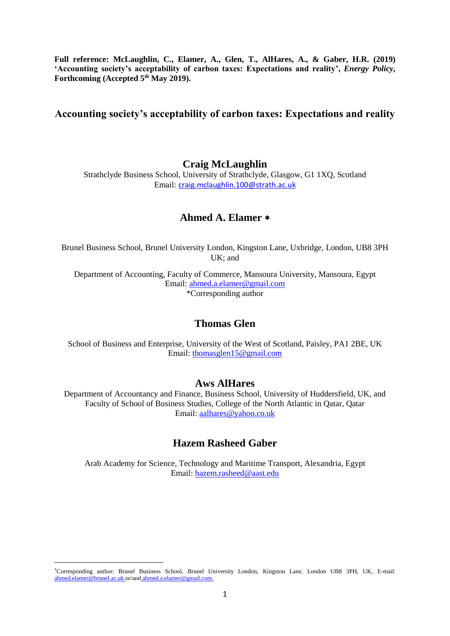**Full reference: McLaughlin, C., Elamer, A., Glen, T., AlHares, A., & Gaber, H.R. (2019) 'Accounting society's acceptability of carbon taxes: Expectations and reality',** *Energy Policy,*  Forthcoming (Accepted 5<sup>th</sup> May 2019).

# **Accounting society's acceptability of carbon taxes: Expectations and reality**

# **Craig McLaughlin**

Strathclyde Business School, University of Strathclyde, Glasgow, G1 1XQ, Scotland Email: [craig.mclaughlin.100@strath.ac.uk](mailto:craig.mclaughlin.100@strath.ac.uk)

# **Ahmed A. Elamer**

Brunel Business School, Brunel University London, Kingston Lane, Uxbridge, London, UB8 3PH UK; and

Department of Accounting, Faculty of Commerce, Mansoura University, Mansoura, Egypt Email: [ahmed.a.elamer@gmail.com](mailto:ahmed.a.elamer@gmail.com) \*Corresponding author

# **Thomas Glen**

School of Business and Enterprise, University of the West of Scotland, Paisley, PA1 2BE, UK Email: [thomasglen15@gmail.com](mailto:thomasglen15@gmail.com)

## **Aws AlHares**

Department of Accountancy and Finance, Business School, University of Huddersfield, UK, and Faculty of School of Business Studies, College of the North Atlantic in Qatar, Qatar Email[: aalhares@yahoo.co.uk](mailto:aalhares@yahoo.co.uk)

# **Hazem Rasheed Gaber**

Arab Academy for Science, Technology and Maritime Transport, Alexandria, Egypt Email: [hazem.rasheed@aast.edu](mailto:hazem.rasheed@aast.edu)

**.** 

Corresponding author: Brunel Business School, Brunel University London, Kingston Lane, London UB8 3PH, UK, E-mail: [ahmed.elamer@brunel.ac.uk](mailto:ahmed.elamer@brunel.ac.uk) or/and ahmed.a.elamer@gmail.com.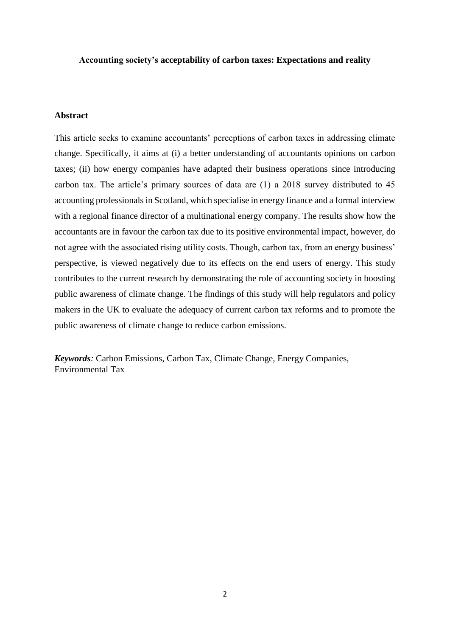#### **Accounting society's acceptability of carbon taxes: Expectations and reality**

#### **Abstract**

This article seeks to examine accountants' perceptions of carbon taxes in addressing climate change. Specifically, it aims at (i) a better understanding of accountants opinions on carbon taxes; (ii) how energy companies have adapted their business operations since introducing carbon tax. The article's primary sources of data are (1) a 2018 survey distributed to 45 accounting professionals in Scotland, which specialise in energy finance and a formal interview with a regional finance director of a multinational energy company. The results show how the accountants are in favour the carbon tax due to its positive environmental impact, however, do not agree with the associated rising utility costs. Though, carbon tax, from an energy business' perspective, is viewed negatively due to its effects on the end users of energy. This study contributes to the current research by demonstrating the role of accounting society in boosting public awareness of climate change. The findings of this study will help regulators and policy makers in the UK to evaluate the adequacy of current carbon tax reforms and to promote the public awareness of climate change to reduce carbon emissions.

*Keywords:* Carbon Emissions, Carbon Tax, Climate Change, Energy Companies, Environmental Tax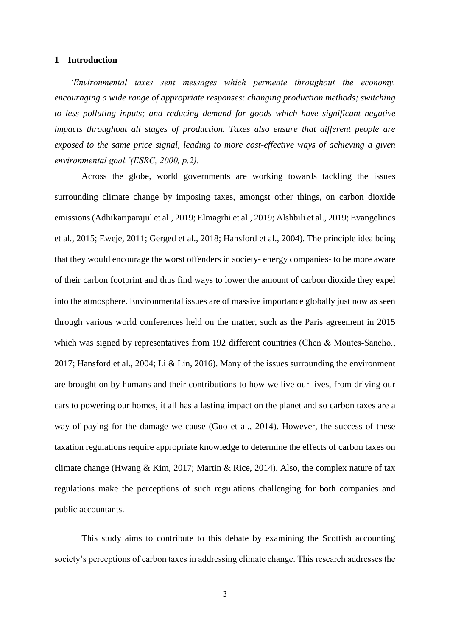#### **1 Introduction**

*'Environmental taxes sent messages which permeate throughout the economy, encouraging a wide range of appropriate responses: changing production methods; switching to less polluting inputs; and reducing demand for goods which have significant negative impacts throughout all stages of production. Taxes also ensure that different people are exposed to the same price signal, leading to more cost-effective ways of achieving a given environmental goal.'(ESRC, 2000, p.2).*

Across the globe, world governments are working towards tackling the issues surrounding climate change by imposing taxes, amongst other things, on carbon dioxide emissions (Adhikariparajul et al., 2019; Elmagrhi et al., 2019; Alshbili et al., 2019; Evangelinos et al., 2015; Eweje, 2011; Gerged et al., 2018; Hansford et al., 2004). The principle idea being that they would encourage the worst offenders in society- energy companies- to be more aware of their carbon footprint and thus find ways to lower the amount of carbon dioxide they expel into the atmosphere. Environmental issues are of massive importance globally just now as seen through various world conferences held on the matter, such as the Paris agreement in 2015 which was signed by representatives from 192 different countries (Chen & Montes-Sancho., 2017; Hansford et al., 2004; Li & Lin, 2016). Many of the issues surrounding the environment are brought on by humans and their contributions to how we live our lives, from driving our cars to powering our homes, it all has a lasting impact on the planet and so carbon taxes are a way of paying for the damage we cause (Guo et al., 2014). However, the success of these taxation regulations require appropriate knowledge to determine the effects of carbon taxes on climate change (Hwang & Kim, 2017; Martin & Rice, 2014). Also, the complex nature of tax regulations make the perceptions of such regulations challenging for both companies and public accountants.

This study aims to contribute to this debate by examining the Scottish accounting society's perceptions of carbon taxes in addressing climate change. This research addresses the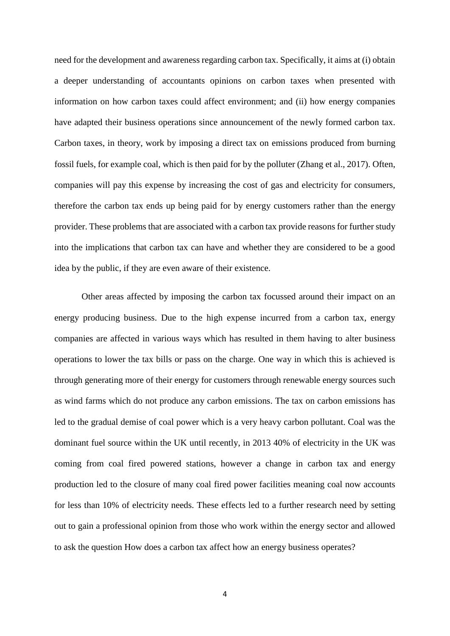need for the development and awareness regarding carbon tax. Specifically, it aims at (i) obtain a deeper understanding of accountants opinions on carbon taxes when presented with information on how carbon taxes could affect environment; and (ii) how energy companies have adapted their business operations since announcement of the newly formed carbon tax. Carbon taxes, in theory, work by imposing a direct tax on emissions produced from burning fossil fuels, for example coal, which is then paid for by the polluter (Zhang et al., 2017). Often, companies will pay this expense by increasing the cost of gas and electricity for consumers, therefore the carbon tax ends up being paid for by energy customers rather than the energy provider. These problems that are associated with a carbon tax provide reasons for further study into the implications that carbon tax can have and whether they are considered to be a good idea by the public, if they are even aware of their existence.

Other areas affected by imposing the carbon tax focussed around their impact on an energy producing business. Due to the high expense incurred from a carbon tax, energy companies are affected in various ways which has resulted in them having to alter business operations to lower the tax bills or pass on the charge. One way in which this is achieved is through generating more of their energy for customers through renewable energy sources such as wind farms which do not produce any carbon emissions. The tax on carbon emissions has led to the gradual demise of coal power which is a very heavy carbon pollutant. Coal was the dominant fuel source within the UK until recently, in 2013 40% of electricity in the UK was coming from coal fired powered stations, however a change in carbon tax and energy production led to the closure of many coal fired power facilities meaning coal now accounts for less than 10% of electricity needs. These effects led to a further research need by setting out to gain a professional opinion from those who work within the energy sector and allowed to ask the question How does a carbon tax affect how an energy business operates?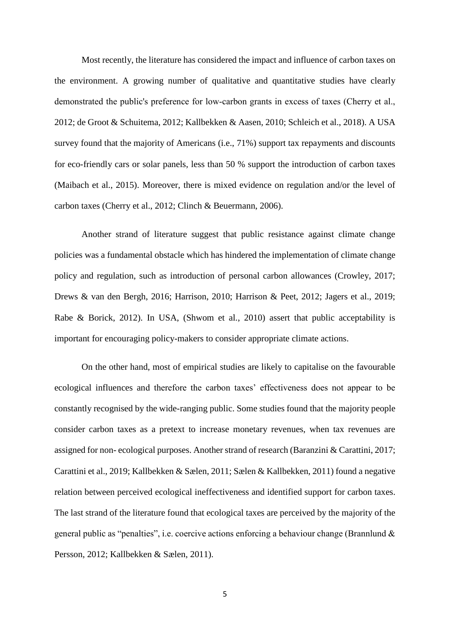Most recently, the literature has considered the impact and influence of carbon taxes on the environment. A growing number of qualitative and quantitative studies have clearly demonstrated the public's preference for low‐carbon grants in excess of taxes (Cherry et al., 2012; de Groot & Schuitema, 2012; Kallbekken & Aasen, 2010; Schleich et al., 2018). A USA survey found that the majority of Americans (i.e., 71%) support tax repayments and discounts for eco-friendly cars or solar panels, less than 50 % support the introduction of carbon taxes (Maibach et al., 2015). Moreover, there is mixed evidence on regulation and/or the level of carbon taxes (Cherry et al., 2012; Clinch & Beuermann, 2006).

Another strand of literature suggest that public resistance against climate change policies was a fundamental obstacle which has hindered the implementation of climate change policy and regulation, such as introduction of personal carbon allowances (Crowley, 2017; Drews & van den Bergh, 2016; Harrison, 2010; Harrison & Peet, 2012; Jagers et al., 2019; Rabe & Borick, 2012). In USA, (Shwom et al., 2010) assert that public acceptability is important for encouraging policy-makers to consider appropriate climate actions.

On the other hand, most of empirical studies are likely to capitalise on the favourable ecological influences and therefore the carbon taxes' effectiveness does not appear to be constantly recognised by the wide-ranging public. Some studies found that the majority people consider carbon taxes as a pretext to increase monetary revenues, when tax revenues are assigned for non- ecological purposes. Another strand of research (Baranzini & Carattini, 2017; Carattini et al., 2019; Kallbekken & Sælen, 2011; Sælen & Kallbekken, 2011) found a negative relation between perceived ecological ineffectiveness and identified support for carbon taxes. The last strand of the literature found that ecological taxes are perceived by the majority of the general public as "penalties", i.e. coercive actions enforcing a behaviour change (Brannlund & Persson, 2012; Kallbekken & Sælen, 2011).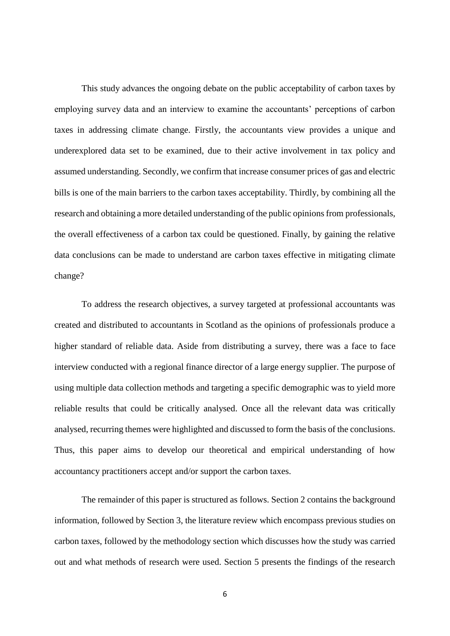This study advances the ongoing debate on the public acceptability of carbon taxes by employing survey data and an interview to examine the accountants' perceptions of carbon taxes in addressing climate change. Firstly, the accountants view provides a unique and underexplored data set to be examined, due to their active involvement in tax policy and assumed understanding. Secondly, we confirm that increase consumer prices of gas and electric bills is one of the main barriers to the carbon taxes acceptability. Thirdly, by combining all the research and obtaining a more detailed understanding of the public opinions from professionals, the overall effectiveness of a carbon tax could be questioned. Finally, by gaining the relative data conclusions can be made to understand are carbon taxes effective in mitigating climate change?

To address the research objectives, a survey targeted at professional accountants was created and distributed to accountants in Scotland as the opinions of professionals produce a higher standard of reliable data. Aside from distributing a survey, there was a face to face interview conducted with a regional finance director of a large energy supplier. The purpose of using multiple data collection methods and targeting a specific demographic was to yield more reliable results that could be critically analysed. Once all the relevant data was critically analysed, recurring themes were highlighted and discussed to form the basis of the conclusions. Thus, this paper aims to develop our theoretical and empirical understanding of how accountancy practitioners accept and/or support the carbon taxes.

The remainder of this paper is structured as follows. Section 2 contains the background information, followed by Section 3, the literature review which encompass previous studies on carbon taxes, followed by the methodology section which discusses how the study was carried out and what methods of research were used. Section 5 presents the findings of the research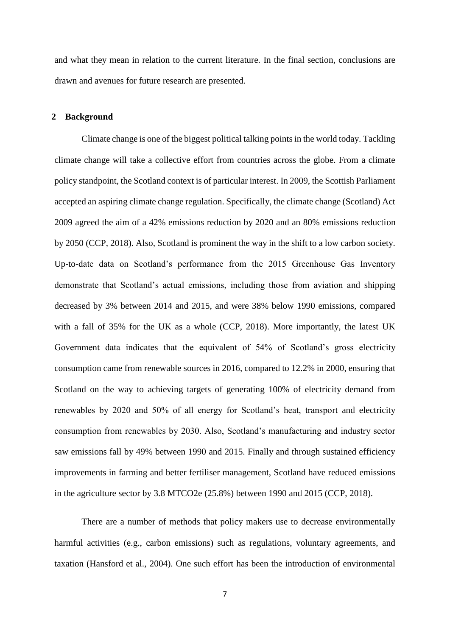and what they mean in relation to the current literature. In the final section, conclusions are drawn and avenues for future research are presented.

#### **2 Background**

Climate change is one of the biggest political talking points in the world today. Tackling climate change will take a collective effort from countries across the globe. From a climate policy standpoint, the Scotland context is of particular interest. In 2009, the Scottish Parliament accepted an aspiring climate change regulation. Specifically, the climate change (Scotland) Act 2009 agreed the aim of a 42% emissions reduction by 2020 and an 80% emissions reduction by 2050 (CCP, 2018). Also, Scotland is prominent the way in the shift to a low carbon society. Up-to-date data on Scotland's performance from the 2015 Greenhouse Gas Inventory demonstrate that Scotland's actual emissions, including those from aviation and shipping decreased by 3% between 2014 and 2015, and were 38% below 1990 emissions, compared with a fall of 35% for the UK as a whole (CCP, 2018). More importantly, the latest UK Government data indicates that the equivalent of 54% of Scotland's gross electricity consumption came from renewable sources in 2016, compared to 12.2% in 2000, ensuring that Scotland on the way to achieving targets of generating 100% of electricity demand from renewables by 2020 and 50% of all energy for Scotland's heat, transport and electricity consumption from renewables by 2030. Also, Scotland's manufacturing and industry sector saw emissions fall by 49% between 1990 and 2015. Finally and through sustained efficiency improvements in farming and better fertiliser management, Scotland have reduced emissions in the agriculture sector by 3.8 MTCO2e (25.8%) between 1990 and 2015 (CCP, 2018).

There are a number of methods that policy makers use to decrease environmentally harmful activities (e.g., carbon emissions) such as regulations, voluntary agreements, and taxation (Hansford et al., 2004). One such effort has been the introduction of environmental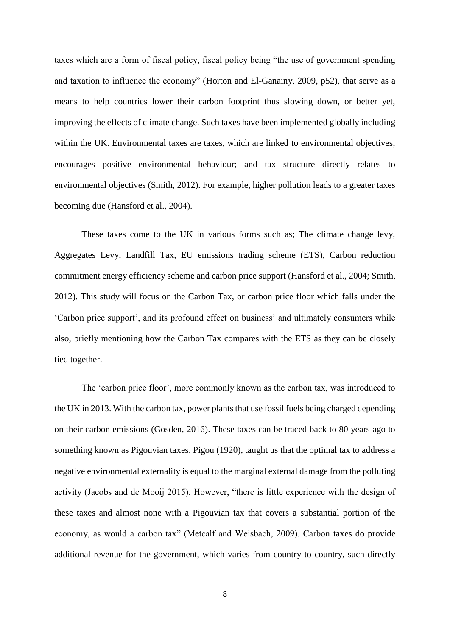taxes which are a form of fiscal policy, fiscal policy being "the use of government spending and taxation to influence the economy" (Horton and El-Ganainy, 2009, p52), that serve as a means to help countries lower their carbon footprint thus slowing down, or better yet, improving the effects of climate change. Such taxes have been implemented globally including within the UK. Environmental taxes are taxes, which are linked to environmental objectives; encourages positive environmental behaviour; and tax structure directly relates to environmental objectives (Smith, 2012). For example, higher pollution leads to a greater taxes becoming due (Hansford et al., 2004).

These taxes come to the UK in various forms such as; The climate change levy, Aggregates Levy, Landfill Tax, EU emissions trading scheme (ETS), Carbon reduction commitment energy efficiency scheme and carbon price support (Hansford et al., 2004; Smith, 2012). This study will focus on the Carbon Tax, or carbon price floor which falls under the 'Carbon price support', and its profound effect on business' and ultimately consumers while also, briefly mentioning how the Carbon Tax compares with the ETS as they can be closely tied together.

The 'carbon price floor', more commonly known as the carbon tax, was introduced to the UK in 2013. With the carbon tax, power plants that use fossil fuels being charged depending on their carbon emissions (Gosden, 2016). These taxes can be traced back to 80 years ago to something known as Pigouvian taxes. Pigou (1920), taught us that the optimal tax to address a negative environmental externality is equal to the marginal external damage from the polluting activity (Jacobs and de Mooij 2015). However, "there is little experience with the design of these taxes and almost none with a Pigouvian tax that covers a substantial portion of the economy, as would a carbon tax" (Metcalf and Weisbach, 2009). Carbon taxes do provide additional revenue for the government, which varies from country to country, such directly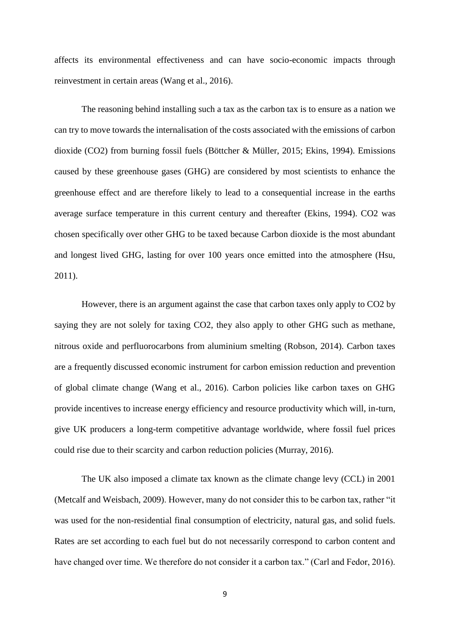affects its environmental effectiveness and can have socio-economic impacts through reinvestment in certain areas (Wang et al., 2016).

The reasoning behind installing such a tax as the carbon tax is to ensure as a nation we can try to move towards the internalisation of the costs associated with the emissions of carbon dioxide (CO2) from burning fossil fuels (Böttcher & Müller, 2015; Ekins, 1994). Emissions caused by these greenhouse gases (GHG) are considered by most scientists to enhance the greenhouse effect and are therefore likely to lead to a consequential increase in the earths average surface temperature in this current century and thereafter (Ekins, 1994). CO2 was chosen specifically over other GHG to be taxed because Carbon dioxide is the most abundant and longest lived GHG, lasting for over 100 years once emitted into the atmosphere (Hsu, 2011).

However, there is an argument against the case that carbon taxes only apply to CO2 by saying they are not solely for taxing CO2, they also apply to other GHG such as methane, nitrous oxide and perfluorocarbons from aluminium smelting (Robson, 2014). Carbon taxes are a frequently discussed economic instrument for carbon emission reduction and prevention of global climate change (Wang et al., 2016). Carbon policies like carbon taxes on GHG provide incentives to increase energy efficiency and resource productivity which will, in-turn, give UK producers a long-term competitive advantage worldwide, where fossil fuel prices could rise due to their scarcity and carbon reduction policies (Murray, 2016).

The UK also imposed a climate tax known as the climate change levy (CCL) in 2001 (Metcalf and Weisbach, 2009). However, many do not consider this to be carbon tax, rather "it was used for the non-residential final consumption of electricity, natural gas, and solid fuels. Rates are set according to each fuel but do not necessarily correspond to carbon content and have changed over time. We therefore do not consider it a carbon tax." (Carl and Fedor, 2016).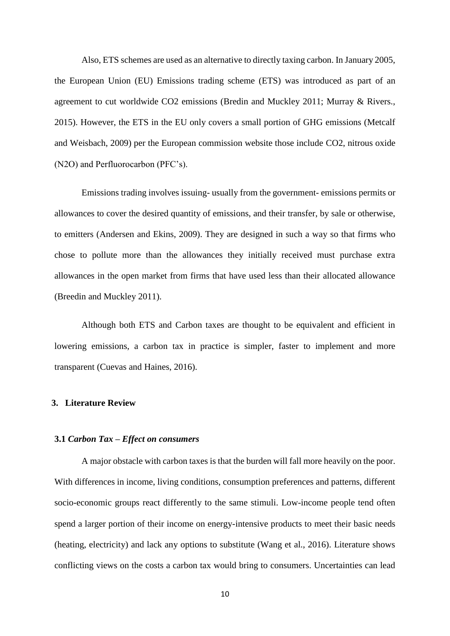Also, ETS schemes are used as an alternative to directly taxing carbon. In January 2005, the European Union (EU) Emissions trading scheme (ETS) was introduced as part of an agreement to cut worldwide CO2 emissions (Bredin and Muckley 2011; Murray & Rivers., 2015). However, the ETS in the EU only covers a small portion of GHG emissions (Metcalf and Weisbach, 2009) per the European commission website those include CO2, nitrous oxide (N2O) and Perfluorocarbon (PFC's).

Emissions trading involves issuing- usually from the government- emissions permits or allowances to cover the desired quantity of emissions, and their transfer, by sale or otherwise, to emitters (Andersen and Ekins, 2009). They are designed in such a way so that firms who chose to pollute more than the allowances they initially received must purchase extra allowances in the open market from firms that have used less than their allocated allowance (Breedin and Muckley 2011).

Although both ETS and Carbon taxes are thought to be equivalent and efficient in lowering emissions, a carbon tax in practice is simpler, faster to implement and more transparent (Cuevas and Haines, 2016).

#### **3. Literature Review**

#### **3.1** *Carbon Tax – Effect on consumers*

A major obstacle with carbon taxes is that the burden will fall more heavily on the poor. With differences in income, living conditions, consumption preferences and patterns, different socio-economic groups react differently to the same stimuli. Low-income people tend often spend a larger portion of their income on energy-intensive products to meet their basic needs (heating, electricity) and lack any options to substitute (Wang et al., 2016). Literature shows conflicting views on the costs a carbon tax would bring to consumers. Uncertainties can lead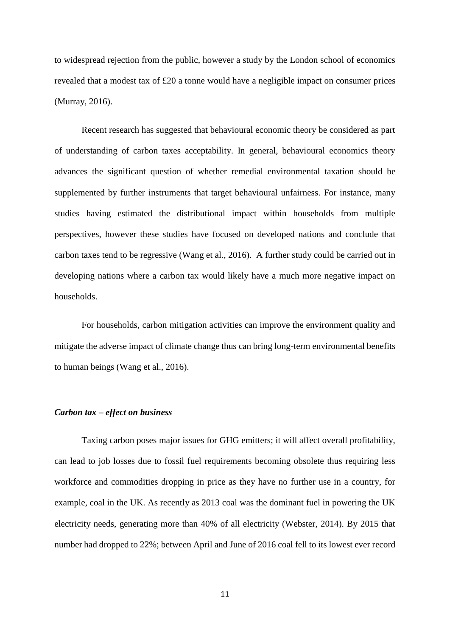to widespread rejection from the public, however a study by the London school of economics revealed that a modest tax of £20 a tonne would have a negligible impact on consumer prices (Murray, 2016).

Recent research has suggested that behavioural economic theory be considered as part of understanding of carbon taxes acceptability. In general, behavioural economics theory advances the significant question of whether remedial environmental taxation should be supplemented by further instruments that target behavioural unfairness. For instance, many studies having estimated the distributional impact within households from multiple perspectives, however these studies have focused on developed nations and conclude that carbon taxes tend to be regressive (Wang et al., 2016). A further study could be carried out in developing nations where a carbon tax would likely have a much more negative impact on households.

For households, carbon mitigation activities can improve the environment quality and mitigate the adverse impact of climate change thus can bring long-term environmental benefits to human beings (Wang et al., 2016).

#### *Carbon tax – effect on business*

Taxing carbon poses major issues for GHG emitters; it will affect overall profitability, can lead to job losses due to fossil fuel requirements becoming obsolete thus requiring less workforce and commodities dropping in price as they have no further use in a country, for example, coal in the UK. As recently as 2013 coal was the dominant fuel in powering the UK electricity needs, generating more than 40% of all electricity (Webster, 2014). By 2015 that number had dropped to 22%; between April and June of 2016 coal fell to its lowest ever record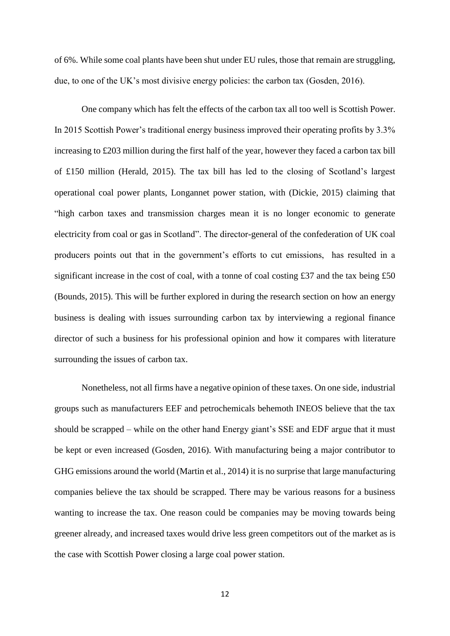of 6%. While some coal plants have been shut under EU rules, those that remain are struggling, due, to one of the UK's most divisive energy policies: the carbon tax (Gosden, 2016).

One company which has felt the effects of the carbon tax all too well is Scottish Power. In 2015 Scottish Power's traditional energy business improved their operating profits by 3.3% increasing to £203 million during the first half of the year, however they faced a carbon tax bill of £150 million (Herald, 2015). The tax bill has led to the closing of Scotland's largest operational coal power plants, Longannet power station, with (Dickie, 2015) claiming that "high carbon taxes and transmission charges mean it is no longer economic to generate electricity from coal or gas in Scotland". The director-general of the confederation of UK coal producers points out that in the government's efforts to cut emissions, has resulted in a significant increase in the cost of coal, with a tonne of coal costing £37 and the tax being £50 (Bounds, 2015). This will be further explored in during the research section on how an energy business is dealing with issues surrounding carbon tax by interviewing a regional finance director of such a business for his professional opinion and how it compares with literature surrounding the issues of carbon tax.

Nonetheless, not all firms have a negative opinion of these taxes. On one side, industrial groups such as manufacturers EEF and petrochemicals behemoth INEOS believe that the tax should be scrapped – while on the other hand Energy giant's SSE and EDF argue that it must be kept or even increased (Gosden, 2016). With manufacturing being a major contributor to GHG emissions around the world (Martin et al., 2014) it is no surprise that large manufacturing companies believe the tax should be scrapped. There may be various reasons for a business wanting to increase the tax. One reason could be companies may be moving towards being greener already, and increased taxes would drive less green competitors out of the market as is the case with Scottish Power closing a large coal power station.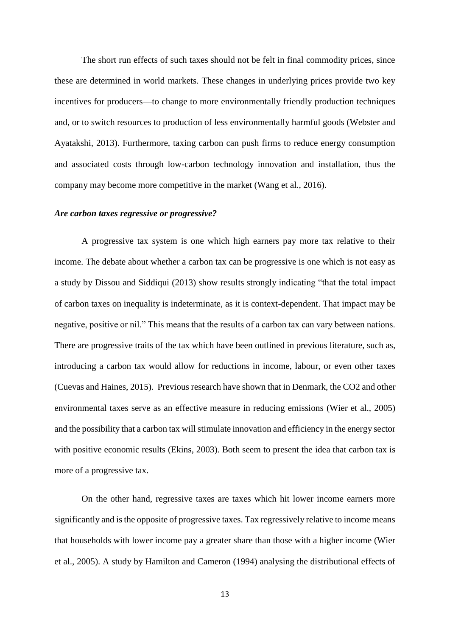The short run effects of such taxes should not be felt in final commodity prices, since these are determined in world markets. These changes in underlying prices provide two key incentives for producers—to change to more environmentally friendly production techniques and, or to switch resources to production of less environmentally harmful goods (Webster and Ayatakshi, 2013). Furthermore, taxing carbon can push firms to reduce energy consumption and associated costs through low-carbon technology innovation and installation, thus the company may become more competitive in the market (Wang et al., 2016).

## *Are carbon taxes regressive or progressive?*

A progressive tax system is one which high earners pay more tax relative to their income. The debate about whether a carbon tax can be progressive is one which is not easy as a study by Dissou and Siddiqui (2013) show results strongly indicating "that the total impact of carbon taxes on inequality is indeterminate, as it is context-dependent. That impact may be negative, positive or nil." This means that the results of a carbon tax can vary between nations. There are progressive traits of the tax which have been outlined in previous literature, such as, introducing a carbon tax would allow for reductions in income, labour, or even other taxes (Cuevas and Haines, 2015). Previous research have shown that in Denmark, the CO2 and other environmental taxes serve as an effective measure in reducing emissions (Wier et al., 2005) and the possibility that a carbon tax will stimulate innovation and efficiency in the energy sector with positive economic results (Ekins, 2003). Both seem to present the idea that carbon tax is more of a progressive tax.

On the other hand, regressive taxes are taxes which hit lower income earners more significantly and is the opposite of progressive taxes. Tax regressively relative to income means that households with lower income pay a greater share than those with a higher income (Wier et al., 2005). A study by Hamilton and Cameron (1994) analysing the distributional effects of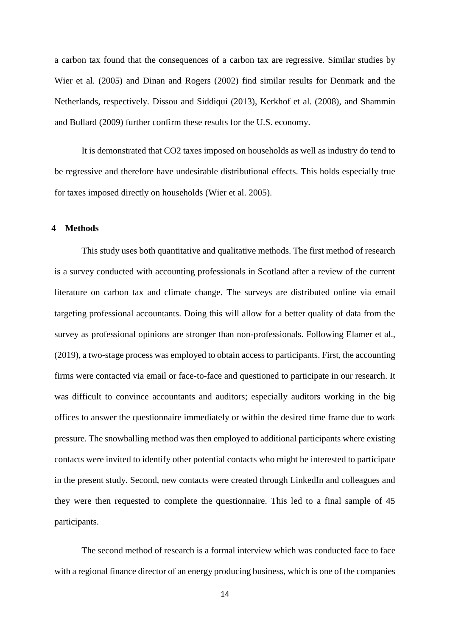a carbon tax found that the consequences of a carbon tax are regressive. Similar studies by Wier et al. (2005) and Dinan and Rogers (2002) find similar results for Denmark and the Netherlands, respectively. Dissou and Siddiqui (2013), Kerkhof et al. (2008), and Shammin and Bullard (2009) further confirm these results for the U.S. economy.

It is demonstrated that CO2 taxes imposed on households as well as industry do tend to be regressive and therefore have undesirable distributional effects. This holds especially true for taxes imposed directly on households (Wier et al. 2005).

#### **4 Methods**

This study uses both quantitative and qualitative methods. The first method of research is a survey conducted with accounting professionals in Scotland after a review of the current literature on carbon tax and climate change. The surveys are distributed online via email targeting professional accountants. Doing this will allow for a better quality of data from the survey as professional opinions are stronger than non-professionals. Following Elamer et al., (2019), a two-stage process was employed to obtain access to participants. First, the accounting firms were contacted via email or face-to-face and questioned to participate in our research. It was difficult to convince accountants and auditors; especially auditors working in the big offices to answer the questionnaire immediately or within the desired time frame due to work pressure. The snowballing method was then employed to additional participants where existing contacts were invited to identify other potential contacts who might be interested to participate in the present study. Second, new contacts were created through LinkedIn and colleagues and they were then requested to complete the questionnaire. This led to a final sample of 45 participants.

The second method of research is a formal interview which was conducted face to face with a regional finance director of an energy producing business, which is one of the companies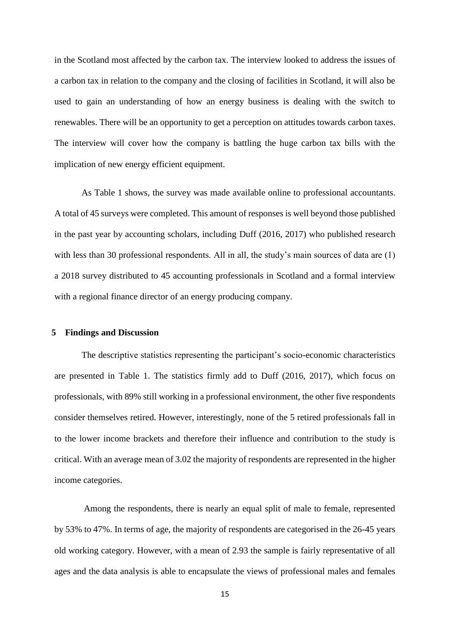in the Scotland most affected by the carbon tax. The interview looked to address the issues of a carbon tax in relation to the company and the closing of facilities in Scotland, it will also be used to gain an understanding of how an energy business is dealing with the switch to renewables. There will be an opportunity to get a perception on attitudes towards carbon taxes. The interview will cover how the company is battling the huge carbon tax bills with the implication of new energy efficient equipment.

As Table 1 shows, the survey was made available online to professional accountants. A total of 45 surveys were completed. This amount of responses is well beyond those published in the past year by accounting scholars, including Duff (2016, 2017) who published research with less than 30 professional respondents. All in all, the study's main sources of data are (1) a 2018 survey distributed to 45 accounting professionals in Scotland and a formal interview with a regional finance director of an energy producing company.

#### **5 Findings and Discussion**

The descriptive statistics representing the participant's socio-economic characteristics are presented in Table 1. The statistics firmly add to Duff (2016, 2017), which focus on professionals, with 89% still working in a professional environment, the other five respondents consider themselves retired. However, interestingly, none of the 5 retired professionals fall in to the lower income brackets and therefore their influence and contribution to the study is critical. With an average mean of 3.02 the majority of respondents are represented in the higher income categories.

Among the respondents, there is nearly an equal split of male to female, represented by 53% to 47%. In terms of age, the majority of respondents are categorised in the 26-45 years old working category. However, with a mean of 2.93 the sample is fairly representative of all ages and the data analysis is able to encapsulate the views of professional males and females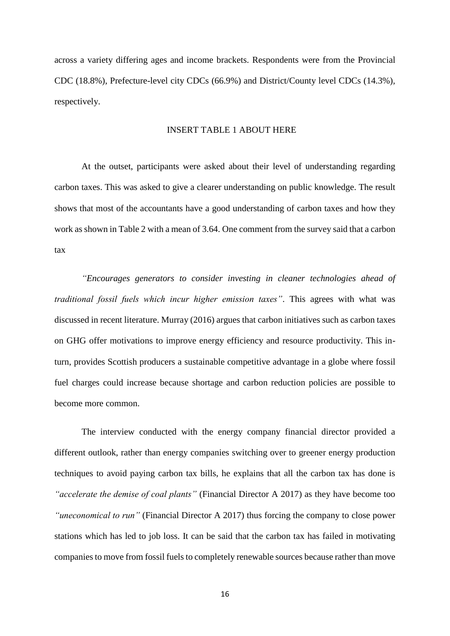across a variety differing ages and income brackets. Respondents were from the Provincial CDC (18.8%), Prefecture-level city CDCs (66.9%) and District/County level CDCs (14.3%), respectively.

## INSERT TABLE 1 ABOUT HERE

At the outset, participants were asked about their level of understanding regarding carbon taxes. This was asked to give a clearer understanding on public knowledge. The result shows that most of the accountants have a good understanding of carbon taxes and how they work as shown in Table 2 with a mean of 3.64. One comment from the survey said that a carbon tax

*"Encourages generators to consider investing in cleaner technologies ahead of traditional fossil fuels which incur higher emission taxes"*. This agrees with what was discussed in recent literature. Murray (2016) argues that carbon initiatives such as carbon taxes on GHG offer motivations to improve energy efficiency and resource productivity. This inturn, provides Scottish producers a sustainable competitive advantage in a globe where fossil fuel charges could increase because shortage and carbon reduction policies are possible to become more common.

The interview conducted with the energy company financial director provided a different outlook, rather than energy companies switching over to greener energy production techniques to avoid paying carbon tax bills, he explains that all the carbon tax has done is *"accelerate the demise of coal plants"* (Financial Director A 2017) as they have become too *"uneconomical to run"* (Financial Director A 2017) thus forcing the company to close power stations which has led to job loss. It can be said that the carbon tax has failed in motivating companies to move from fossil fuels to completely renewable sources because rather than move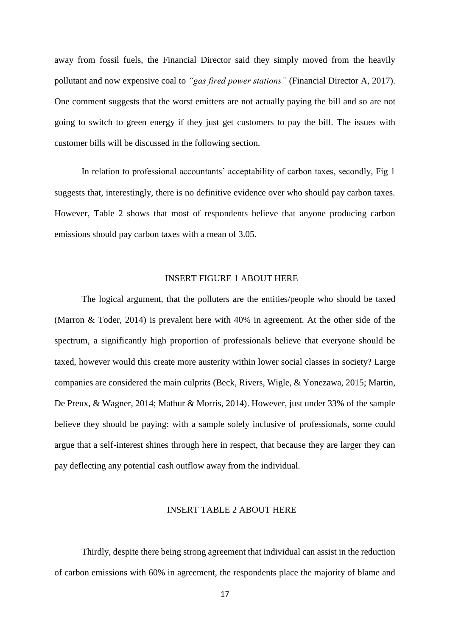away from fossil fuels, the Financial Director said they simply moved from the heavily pollutant and now expensive coal to *"gas fired power stations"* (Financial Director A, 2017). One comment suggests that the worst emitters are not actually paying the bill and so are not going to switch to green energy if they just get customers to pay the bill. The issues with customer bills will be discussed in the following section.

In relation to professional accountants' acceptability of carbon taxes, secondly, Fig 1 suggests that, interestingly, there is no definitive evidence over who should pay carbon taxes. However, Table 2 shows that most of respondents believe that anyone producing carbon emissions should pay carbon taxes with a mean of 3.05.

## INSERT FIGURE 1 ABOUT HERE

The logical argument, that the polluters are the entities/people who should be taxed (Marron & Toder, 2014) is prevalent here with 40% in agreement. At the other side of the spectrum, a significantly high proportion of professionals believe that everyone should be taxed, however would this create more austerity within lower social classes in society? Large companies are considered the main culprits (Beck, Rivers, Wigle, & Yonezawa, 2015; Martin, De Preux, & Wagner, 2014; Mathur & Morris, 2014). However, just under 33% of the sample believe they should be paying: with a sample solely inclusive of professionals, some could argue that a self-interest shines through here in respect, that because they are larger they can pay deflecting any potential cash outflow away from the individual.

## INSERT TABLE 2 ABOUT HERE

Thirdly, despite there being strong agreement that individual can assist in the reduction of carbon emissions with 60% in agreement, the respondents place the majority of blame and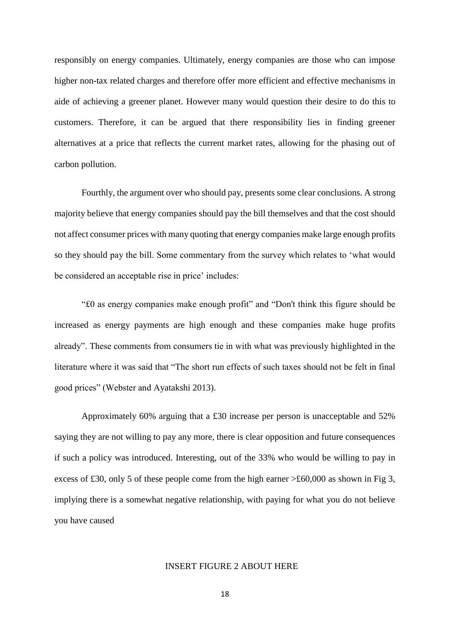responsibly on energy companies. Ultimately, energy companies are those who can impose higher non-tax related charges and therefore offer more efficient and effective mechanisms in aide of achieving a greener planet. However many would question their desire to do this to customers. Therefore, it can be argued that there responsibility lies in finding greener alternatives at a price that reflects the current market rates, allowing for the phasing out of carbon pollution.

Fourthly, the argument over who should pay, presents some clear conclusions. A strong majority believe that energy companies should pay the bill themselves and that the cost should not affect consumer prices with many quoting that energy companies make large enough profits so they should pay the bill. Some commentary from the survey which relates to 'what would be considered an acceptable rise in price' includes:

"£0 as energy companies make enough profit" and "Don't think this figure should be increased as energy payments are high enough and these companies make huge profits already". These comments from consumers tie in with what was previously highlighted in the literature where it was said that "The short run effects of such taxes should not be felt in final good prices" (Webster and Ayatakshi 2013).

Approximately 60% arguing that a £30 increase per person is unacceptable and 52% saying they are not willing to pay any more, there is clear opposition and future consequences if such a policy was introduced. Interesting, out of the 33% who would be willing to pay in excess of £30, only 5 of these people come from the high earner  $\geq$  £60,000 as shown in Fig 3, implying there is a somewhat negative relationship, with paying for what you do not believe you have caused

## INSERT FIGURE 2 ABOUT HERE

18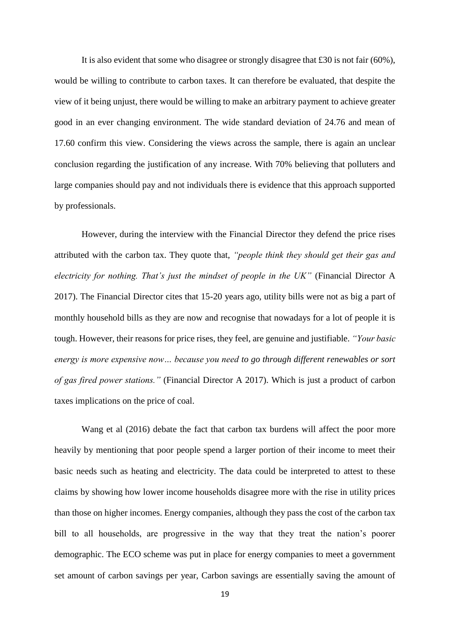It is also evident that some who disagree or strongly disagree that £30 is not fair (60%), would be willing to contribute to carbon taxes. It can therefore be evaluated, that despite the view of it being unjust, there would be willing to make an arbitrary payment to achieve greater good in an ever changing environment. The wide standard deviation of 24.76 and mean of 17.60 confirm this view. Considering the views across the sample, there is again an unclear conclusion regarding the justification of any increase. With 70% believing that polluters and large companies should pay and not individuals there is evidence that this approach supported by professionals.

However, during the interview with the Financial Director they defend the price rises attributed with the carbon tax. They quote that, *"people think they should get their gas and electricity for nothing. That's just the mindset of people in the UK"* (Financial Director A 2017). The Financial Director cites that 15-20 years ago, utility bills were not as big a part of monthly household bills as they are now and recognise that nowadays for a lot of people it is tough. However, their reasons for price rises, they feel, are genuine and justifiable. *"Your basic energy is more expensive now… because you need to go through different renewables or sort of gas fired power stations."* (Financial Director A 2017). Which is just a product of carbon taxes implications on the price of coal.

Wang et al (2016) debate the fact that carbon tax burdens will affect the poor more heavily by mentioning that poor people spend a larger portion of their income to meet their basic needs such as heating and electricity. The data could be interpreted to attest to these claims by showing how lower income households disagree more with the rise in utility prices than those on higher incomes. Energy companies, although they pass the cost of the carbon tax bill to all households, are progressive in the way that they treat the nation's poorer demographic. The ECO scheme was put in place for energy companies to meet a government set amount of carbon savings per year, Carbon savings are essentially saving the amount of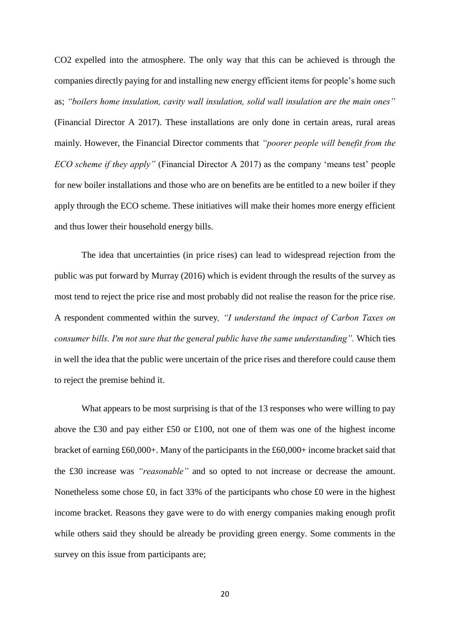CO2 expelled into the atmosphere. The only way that this can be achieved is through the companies directly paying for and installing new energy efficient items for people's home such as; *"boilers home insulation, cavity wall insulation, solid wall insulation are the main ones"* (Financial Director A 2017). These installations are only done in certain areas, rural areas mainly. However, the Financial Director comments that *"poorer people will benefit from the ECO scheme if they apply"* (Financial Director A 2017) as the company 'means test' people for new boiler installations and those who are on benefits are be entitled to a new boiler if they apply through the ECO scheme. These initiatives will make their homes more energy efficient and thus lower their household energy bills.

The idea that uncertainties (in price rises) can lead to widespread rejection from the public was put forward by Murray (2016) which is evident through the results of the survey as most tend to reject the price rise and most probably did not realise the reason for the price rise. A respondent commented within the survey*, "I understand the impact of Carbon Taxes on consumer bills. I'm not sure that the general public have the same understanding".* Which ties in well the idea that the public were uncertain of the price rises and therefore could cause them to reject the premise behind it.

What appears to be most surprising is that of the 13 responses who were willing to pay above the £30 and pay either £50 or £100, not one of them was one of the highest income bracket of earning £60,000+. Many of the participants in the £60,000+ income bracket said that the £30 increase was *"reasonable"* and so opted to not increase or decrease the amount. Nonetheless some chose £0, in fact  $33\%$  of the participants who chose £0 were in the highest income bracket. Reasons they gave were to do with energy companies making enough profit while others said they should be already be providing green energy. Some comments in the survey on this issue from participants are;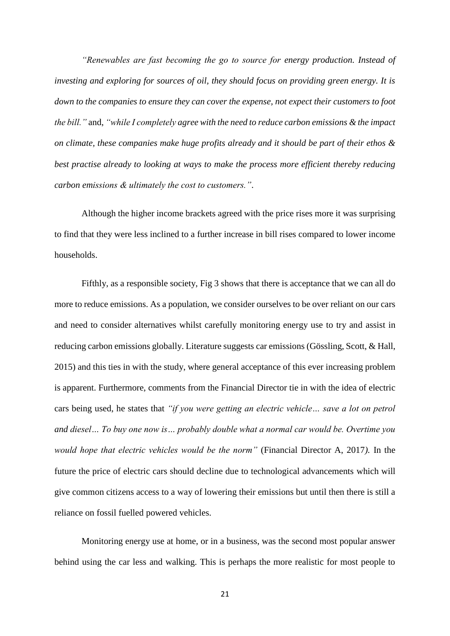*"Renewables are fast becoming the go to source for energy production. Instead of investing and exploring for sources of oil, they should focus on providing green energy. It is down to the companies to ensure they can cover the expense, not expect their customers to foot the bill."* and, *"while I completely agree with the need to reduce carbon emissions & the impact on climate, these companies make huge profits already and it should be part of their ethos & best practise already to looking at ways to make the process more efficient thereby reducing carbon emissions & ultimately the cost to customers."*.

Although the higher income brackets agreed with the price rises more it was surprising to find that they were less inclined to a further increase in bill rises compared to lower income households.

Fifthly, as a responsible society, Fig 3 shows that there is acceptance that we can all do more to reduce emissions. As a population, we consider ourselves to be over reliant on our cars and need to consider alternatives whilst carefully monitoring energy use to try and assist in reducing carbon emissions globally. Literature suggests car emissions (Gössling, Scott, & Hall, 2015) and this ties in with the study, where general acceptance of this ever increasing problem is apparent. Furthermore, comments from the Financial Director tie in with the idea of electric cars being used, he states that *"if you were getting an electric vehicle… save a lot on petrol and diesel… To buy one now is… probably double what a normal car would be. Overtime you would hope that electric vehicles would be the norm"* (Financial Director A, 2017*).* In the future the price of electric cars should decline due to technological advancements which will give common citizens access to a way of lowering their emissions but until then there is still a reliance on fossil fuelled powered vehicles.

Monitoring energy use at home, or in a business, was the second most popular answer behind using the car less and walking. This is perhaps the more realistic for most people to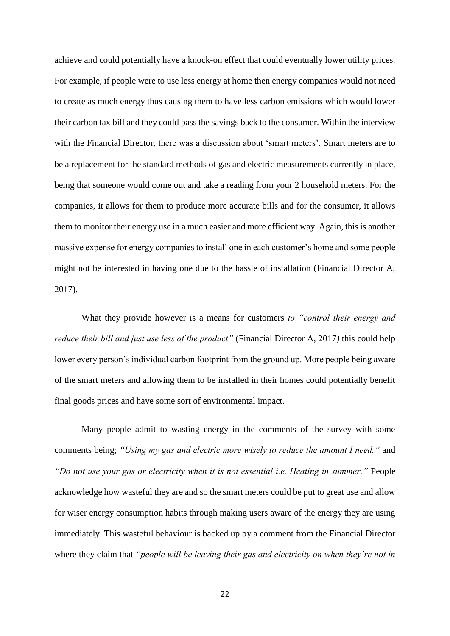achieve and could potentially have a knock-on effect that could eventually lower utility prices. For example, if people were to use less energy at home then energy companies would not need to create as much energy thus causing them to have less carbon emissions which would lower their carbon tax bill and they could pass the savings back to the consumer. Within the interview with the Financial Director, there was a discussion about 'smart meters'. Smart meters are to be a replacement for the standard methods of gas and electric measurements currently in place, being that someone would come out and take a reading from your 2 household meters. For the companies, it allows for them to produce more accurate bills and for the consumer, it allows them to monitor their energy use in a much easier and more efficient way. Again, this is another massive expense for energy companies to install one in each customer's home and some people might not be interested in having one due to the hassle of installation (Financial Director A, 2017).

What they provide however is a means for customers *to "control their energy and reduce their bill and just use less of the product"* (Financial Director A, 2017*)* this could help lower every person's individual carbon footprint from the ground up. More people being aware of the smart meters and allowing them to be installed in their homes could potentially benefit final goods prices and have some sort of environmental impact.

Many people admit to wasting energy in the comments of the survey with some comments being; *"Using my gas and electric more wisely to reduce the amount I need."* and *"Do not use your gas or electricity when it is not essential i.e. Heating in summer."* People acknowledge how wasteful they are and so the smart meters could be put to great use and allow for wiser energy consumption habits through making users aware of the energy they are using immediately. This wasteful behaviour is backed up by a comment from the Financial Director where they claim that *"people will be leaving their gas and electricity on when they're not in*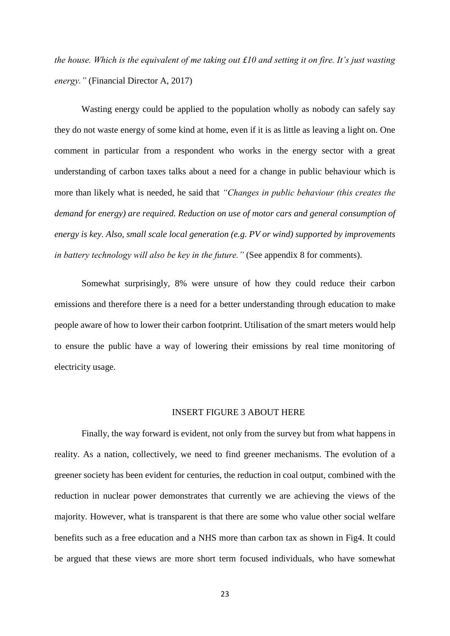*the house. Which is the equivalent of me taking out £10 and setting it on fire. It's just wasting energy."* (Financial Director A, 2017)

Wasting energy could be applied to the population wholly as nobody can safely say they do not waste energy of some kind at home, even if it is as little as leaving a light on. One comment in particular from a respondent who works in the energy sector with a great understanding of carbon taxes talks about a need for a change in public behaviour which is more than likely what is needed, he said that *"Changes in public behaviour (this creates the demand for energy) are required. Reduction on use of motor cars and general consumption of energy is key. Also, small scale local generation (e.g. PV or wind) supported by improvements in battery technology will also be key in the future."* (See appendix 8 for comments).

Somewhat surprisingly, 8% were unsure of how they could reduce their carbon emissions and therefore there is a need for a better understanding through education to make people aware of how to lower their carbon footprint. Utilisation of the smart meters would help to ensure the public have a way of lowering their emissions by real time monitoring of electricity usage.

## INSERT FIGURE 3 ABOUT HERE

Finally, the way forward is evident, not only from the survey but from what happens in reality. As a nation, collectively, we need to find greener mechanisms. The evolution of a greener society has been evident for centuries, the reduction in coal output, combined with the reduction in nuclear power demonstrates that currently we are achieving the views of the majority. However, what is transparent is that there are some who value other social welfare benefits such as a free education and a NHS more than carbon tax as shown in Fig4. It could be argued that these views are more short term focused individuals, who have somewhat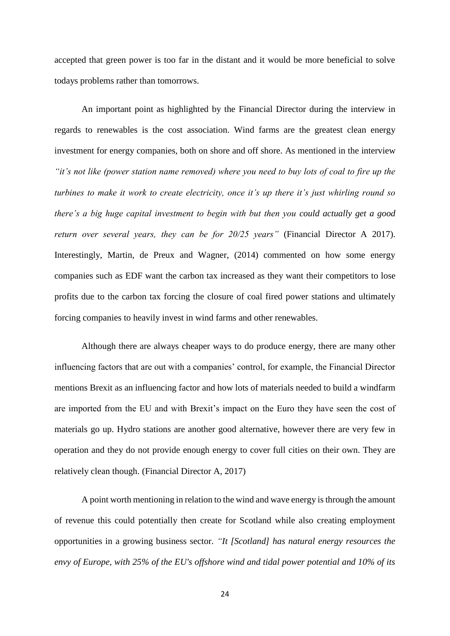accepted that green power is too far in the distant and it would be more beneficial to solve todays problems rather than tomorrows.

An important point as highlighted by the Financial Director during the interview in regards to renewables is the cost association. Wind farms are the greatest clean energy investment for energy companies, both on shore and off shore*.* As mentioned in the interview *"it's not like (power station name removed) where you need to buy lots of coal to fire up the turbines to make it work to create electricity, once it's up there it's just whirling round so there's a big huge capital investment to begin with but then you could actually get a good return over several years, they can be for 20/25 years"* (Financial Director A 2017). Interestingly, Martin, de Preux and Wagner, (2014) commented on how some energy companies such as EDF want the carbon tax increased as they want their competitors to lose profits due to the carbon tax forcing the closure of coal fired power stations and ultimately forcing companies to heavily invest in wind farms and other renewables.

Although there are always cheaper ways to do produce energy, there are many other influencing factors that are out with a companies' control, for example, the Financial Director mentions Brexit as an influencing factor and how lots of materials needed to build a windfarm are imported from the EU and with Brexit's impact on the Euro they have seen the cost of materials go up. Hydro stations are another good alternative, however there are very few in operation and they do not provide enough energy to cover full cities on their own. They are relatively clean though. (Financial Director A, 2017)

A point worth mentioning in relation to the wind and wave energy is through the amount of revenue this could potentially then create for Scotland while also creating employment opportunities in a growing business sector. *"It [Scotland] has natural energy resources the envy of Europe, with 25% of the EU's offshore wind and tidal power potential and 10% of its*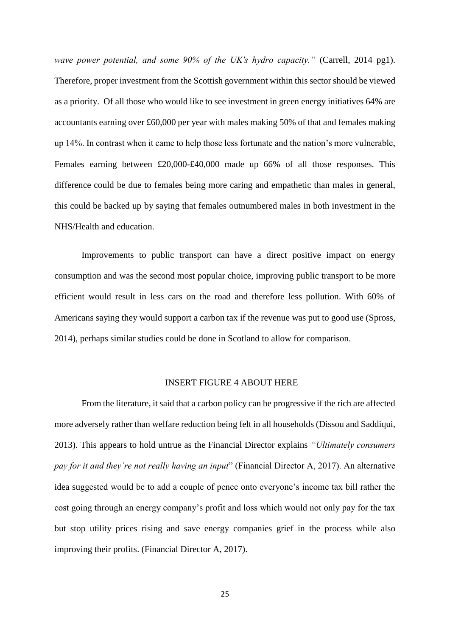*wave power potential, and some 90% of the UK's hydro capacity."* (Carrell, 2014 pg1). Therefore, proper investment from the Scottish government within this sector should be viewed as a priority. Of all those who would like to see investment in green energy initiatives 64% are accountants earning over £60,000 per year with males making 50% of that and females making up 14%. In contrast when it came to help those less fortunate and the nation's more vulnerable, Females earning between £20,000-£40,000 made up 66% of all those responses. This difference could be due to females being more caring and empathetic than males in general, this could be backed up by saying that females outnumbered males in both investment in the NHS/Health and education.

Improvements to public transport can have a direct positive impact on energy consumption and was the second most popular choice, improving public transport to be more efficient would result in less cars on the road and therefore less pollution. With 60% of Americans saying they would support a carbon tax if the revenue was put to good use (Spross, 2014), perhaps similar studies could be done in Scotland to allow for comparison.

#### INSERT FIGURE 4 ABOUT HERE

From the literature, it said that a carbon policy can be progressive if the rich are affected more adversely rather than welfare reduction being felt in all households (Dissou and Saddiqui, 2013). This appears to hold untrue as the Financial Director explains *"Ultimately consumers pay for it and they're not really having an input*" (Financial Director A, 2017). An alternative idea suggested would be to add a couple of pence onto everyone's income tax bill rather the cost going through an energy company's profit and loss which would not only pay for the tax but stop utility prices rising and save energy companies grief in the process while also improving their profits. (Financial Director A, 2017).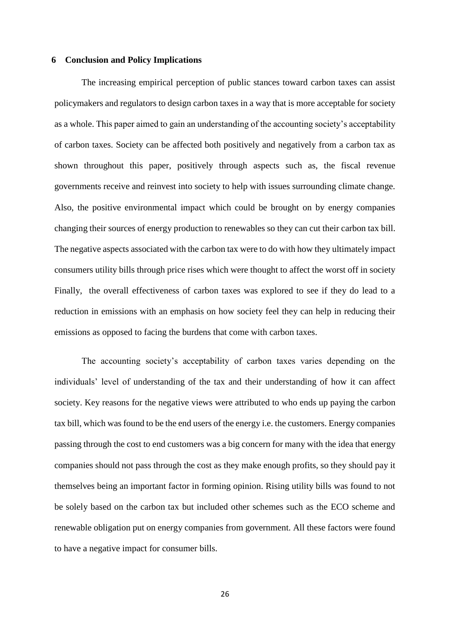#### **6 Conclusion and Policy Implications**

The increasing empirical perception of public stances toward carbon taxes can assist policymakers and regulators to design carbon taxes in a way that is more acceptable for society as a whole. This paper aimed to gain an understanding of the accounting society's acceptability of carbon taxes. Society can be affected both positively and negatively from a carbon tax as shown throughout this paper, positively through aspects such as, the fiscal revenue governments receive and reinvest into society to help with issues surrounding climate change. Also, the positive environmental impact which could be brought on by energy companies changing their sources of energy production to renewables so they can cut their carbon tax bill. The negative aspects associated with the carbon tax were to do with how they ultimately impact consumers utility bills through price rises which were thought to affect the worst off in society Finally, the overall effectiveness of carbon taxes was explored to see if they do lead to a reduction in emissions with an emphasis on how society feel they can help in reducing their emissions as opposed to facing the burdens that come with carbon taxes.

The accounting society's acceptability of carbon taxes varies depending on the individuals' level of understanding of the tax and their understanding of how it can affect society. Key reasons for the negative views were attributed to who ends up paying the carbon tax bill, which was found to be the end users of the energy i.e. the customers. Energy companies passing through the cost to end customers was a big concern for many with the idea that energy companies should not pass through the cost as they make enough profits, so they should pay it themselves being an important factor in forming opinion. Rising utility bills was found to not be solely based on the carbon tax but included other schemes such as the ECO scheme and renewable obligation put on energy companies from government. All these factors were found to have a negative impact for consumer bills.

26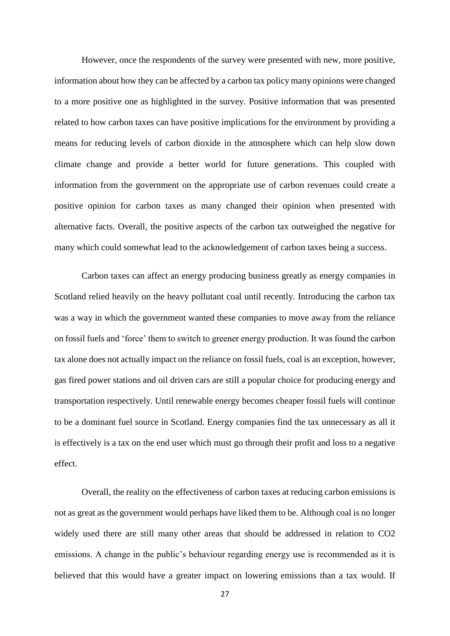However, once the respondents of the survey were presented with new, more positive, information about how they can be affected by a carbon tax policy many opinions were changed to a more positive one as highlighted in the survey. Positive information that was presented related to how carbon taxes can have positive implications for the environment by providing a means for reducing levels of carbon dioxide in the atmosphere which can help slow down climate change and provide a better world for future generations. This coupled with information from the government on the appropriate use of carbon revenues could create a positive opinion for carbon taxes as many changed their opinion when presented with alternative facts. Overall, the positive aspects of the carbon tax outweighed the negative for many which could somewhat lead to the acknowledgement of carbon taxes being a success.

Carbon taxes can affect an energy producing business greatly as energy companies in Scotland relied heavily on the heavy pollutant coal until recently. Introducing the carbon tax was a way in which the government wanted these companies to move away from the reliance on fossil fuels and 'force' them to switch to greener energy production. It was found the carbon tax alone does not actually impact on the reliance on fossil fuels, coal is an exception, however, gas fired power stations and oil driven cars are still a popular choice for producing energy and transportation respectively. Until renewable energy becomes cheaper fossil fuels will continue to be a dominant fuel source in Scotland. Energy companies find the tax unnecessary as all it is effectively is a tax on the end user which must go through their profit and loss to a negative effect.

Overall, the reality on the effectiveness of carbon taxes at reducing carbon emissions is not as great as the government would perhaps have liked them to be. Although coal is no longer widely used there are still many other areas that should be addressed in relation to CO2 emissions. A change in the public's behaviour regarding energy use is recommended as it is believed that this would have a greater impact on lowering emissions than a tax would. If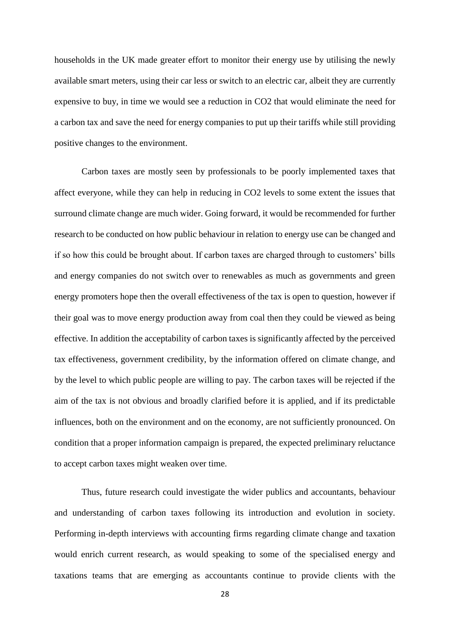households in the UK made greater effort to monitor their energy use by utilising the newly available smart meters, using their car less or switch to an electric car, albeit they are currently expensive to buy, in time we would see a reduction in CO2 that would eliminate the need for a carbon tax and save the need for energy companies to put up their tariffs while still providing positive changes to the environment.

Carbon taxes are mostly seen by professionals to be poorly implemented taxes that affect everyone, while they can help in reducing in CO2 levels to some extent the issues that surround climate change are much wider. Going forward, it would be recommended for further research to be conducted on how public behaviour in relation to energy use can be changed and if so how this could be brought about. If carbon taxes are charged through to customers' bills and energy companies do not switch over to renewables as much as governments and green energy promoters hope then the overall effectiveness of the tax is open to question, however if their goal was to move energy production away from coal then they could be viewed as being effective. In addition the acceptability of carbon taxes is significantly affected by the perceived tax effectiveness, government credibility, by the information offered on climate change, and by the level to which public people are willing to pay. The carbon taxes will be rejected if the aim of the tax is not obvious and broadly clarified before it is applied, and if its predictable influences, both on the environment and on the economy, are not sufficiently pronounced. On condition that a proper information campaign is prepared, the expected preliminary reluctance to accept carbon taxes might weaken over time.

Thus, future research could investigate the wider publics and accountants, behaviour and understanding of carbon taxes following its introduction and evolution in society. Performing in-depth interviews with accounting firms regarding climate change and taxation would enrich current research, as would speaking to some of the specialised energy and taxations teams that are emerging as accountants continue to provide clients with the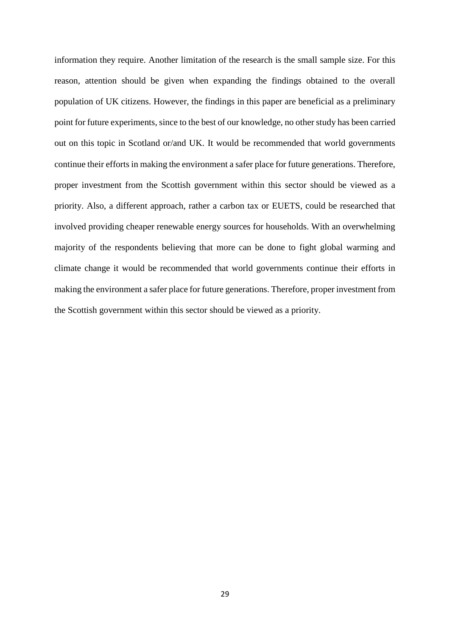information they require. Another limitation of the research is the small sample size. For this reason, attention should be given when expanding the findings obtained to the overall population of UK citizens. However, the findings in this paper are beneficial as a preliminary point for future experiments, since to the best of our knowledge, no other study has been carried out on this topic in Scotland or/and UK. It would be recommended that world governments continue their efforts in making the environment a safer place for future generations. Therefore, proper investment from the Scottish government within this sector should be viewed as a priority. Also, a different approach, rather a carbon tax or EUETS, could be researched that involved providing cheaper renewable energy sources for households. With an overwhelming majority of the respondents believing that more can be done to fight global warming and climate change it would be recommended that world governments continue their efforts in making the environment a safer place for future generations. Therefore, proper investment from the Scottish government within this sector should be viewed as a priority.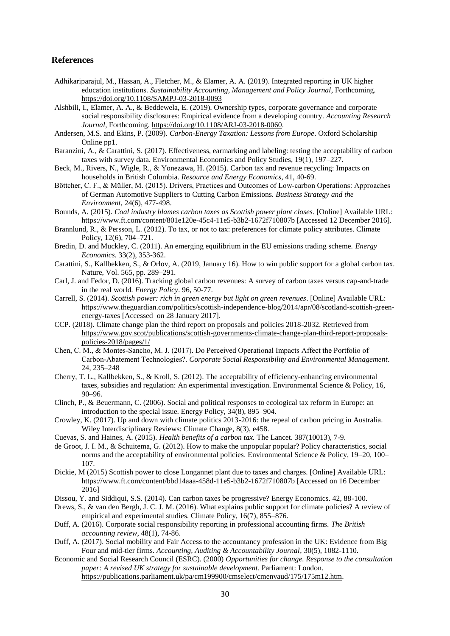#### **References**

- Adhikariparajul, M., Hassan, A., Fletcher, M., & Elamer, A. A. (2019). Integrated reporting in UK higher education institutions. *Sustainability Accounting, Management and Policy Journal*, Forthcoming. <https://doi.org/10.1108/SAMPJ-03-2018-0093>
- Alshbili, I., Elamer, A. A., & Beddewela, E. (2019). Ownership types, corporate governance and corporate social responsibility disclosures: Empirical evidence from a developing country. *Accounting Research Journal*, Forthcoming. [https://doi.org/10.1108/ARJ-03-2018-0060.](https://doi.org/10.1108/ARJ-03-2018-0060)
- Andersen, M.S. and Ekins, P. (2009). *Carbon-Energy Taxation: Lessons from Europe*. Oxford Scholarship Online pp1.
- Baranzini, A., & Carattini, S. (2017). Effectiveness, earmarking and labeling: testing the acceptability of carbon taxes with survey data. Environmental Economics and Policy Studies, 19(1), 197–227.
- Beck, M., Rivers, N., Wigle, R., & Yonezawa, H. (2015). Carbon tax and revenue recycling: Impacts on households in British Columbia. *Resource and Energy Economics*, 41, 40-69.
- Böttcher, C. F., & Müller, M. (2015). Drivers, Practices and Outcomes of Low‐carbon Operations: Approaches of German Automotive Suppliers to Cutting Carbon Emissions. *Business Strategy and the Environment*, 24(6), 477-498.
- Bounds, A. (2015). *Coal industry blames carbon taxes as Scottish power plant closes*. [Online] Available URL: <https://www.ft.com/content/801e120e-45c4-11e5-b3b2-1672f710807b> [Accessed 12 December 2016].
- Brannlund, R., & Persson, L. (2012). To tax, or not to tax: preferences for climate policy attributes. Climate Policy, 12(6), 704–721.
- Bredin, D. and Muckley, C. (2011). An emerging equilibrium in the EU emissions trading scheme. *Energy Economics*. 33(2), 353-362.
- Carattini, S., Kallbekken, S., & Orlov, A. (2019, January 16). How to win public support for a global carbon tax. Nature, Vol. 565, pp. 289–291.
- Carl, J. and Fedor, D. (2016). Tracking global carbon revenues: A survey of carbon taxes versus cap-and-trade in the real world. *Energy Policy*. 96, 50-77.
- Carrell, S. (2014). *Scottish power: rich in green energy but light on green revenues*. [Online] Available URL: [https://www.theguardian.com/politics/scottish-independence-blog/2014/apr/08/scotland-scottish-green](https://www.theguardian.com/politics/scottish-independence-blog/2014/apr/08/scotland-scottish-green-energy-taxes)[energy-taxes](https://www.theguardian.com/politics/scottish-independence-blog/2014/apr/08/scotland-scottish-green-energy-taxes) [Accessed on 28 January 2017].
- CCP. (2018). Climate change plan the third report on proposals and policies 2018-2032. Retrieved from [https://www.gov.scot/publications/scottish-governments-climate-change-plan-third-report-proposals](https://www.gov.scot/publications/scottish-governments-climate-change-plan-third-report-proposals-policies-2018/pages/1/)[policies-2018/pages/1/](https://www.gov.scot/publications/scottish-governments-climate-change-plan-third-report-proposals-policies-2018/pages/1/)
- Chen, C. M., & Montes‐Sancho, M. J. (2017). Do Perceived Operational Impacts Affect the Portfolio of Carbon‐Abatement Technologies?. *Corporate Social Responsibility and Environmental Management*. 24, 235–248
- Cherry, T. L., Kallbekken, S., & Kroll, S. (2012). The acceptability of efficiency-enhancing environmental taxes, subsidies and regulation: An experimental investigation. Environmental Science & Policy, 16, 90–96.
- Clinch, P., & Beuermann, C. (2006). Social and political responses to ecological tax reform in Europe: an introduction to the special issue. Energy Policy, 34(8), 895–904.
- Crowley, K. (2017). Up and down with climate politics 2013-2016: the repeal of carbon pricing in Australia. Wiley Interdisciplinary Reviews: Climate Change, 8(3), e458.
- Cuevas, S. and Haines, A. (2015). *Health benefits of a carbon tax.* The Lancet. 387(10013), 7-9.
- de Groot, J. I. M., & Schuitema, G. (2012). How to make the unpopular popular? Policy characteristics, social norms and the acceptability of environmental policies. Environmental Science & Policy, 19–20, 100– 107.
- Dickie, M (2015) Scottish power to close Longannet plant due to taxes and charges. [Online] Available URL: <https://www.ft.com/content/bbd14aaa-458d-11e5-b3b2-1672f710807b> [Accessed on 16 December 2016]
- Dissou, Y. and Siddiqui, S.S. (2014). Can carbon taxes be progressive? Energy Economics. 42, 88-100.
- Drews, S., & van den Bergh, J. C. J. M. (2016). What explains public support for climate policies? A review of empirical and experimental studies. Climate Policy, 16(7), 855–876.
- Duff, A. (2016). Corporate social responsibility reporting in professional accounting firms. *The British accounting review*, 48(1), 74-86.
- Duff, A. (2017). Social mobility and Fair Access to the accountancy profession in the UK: Evidence from Big Four and mid-tier firms. *Accounting, Auditing & Accountability Journal*, 30(5), 1082-1110.
- Economic and Social Research Council (ESRC). (2000) *Opportunities for change. Response to the consultation paper: A revised UK strategy for sustainable development*. Parliament: London. [https://publications.parliament.uk/pa/cm199900/cmselect/cmenvaud/175/175m12.htm.](https://publications.parliament.uk/pa/cm199900/cmselect/cmenvaud/175/175m12.htm)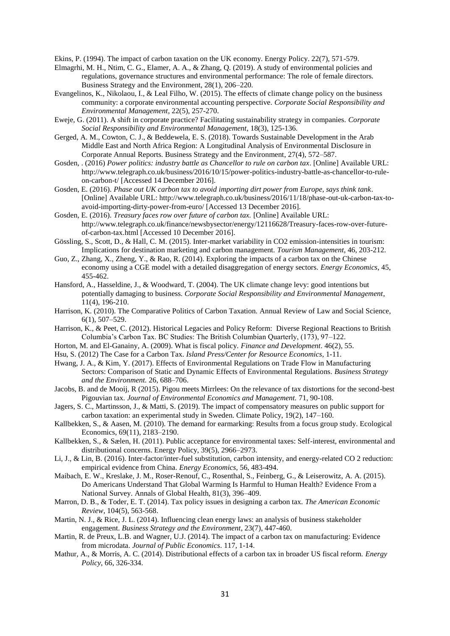Ekins, P. (1994). The impact of carbon taxation on the UK economy. Energy Policy. 22(7), 571-579.

- Elmagrhi, M. H., Ntim, C. G., Elamer, A. A., & Zhang, Q. (2019). A study of environmental policies and regulations, governance structures and environmental performance: The role of female directors. Business Strategy and the Environment, 28(1), 206–220.
- Evangelinos, K., Nikolaou, I., & Leal Filho, W. (2015). The effects of climate change policy on the business community: a corporate environmental accounting perspective. *Corporate Social Responsibility and Environmental Management*, 22(5), 257-270.
- Eweje, G. (2011). A shift in corporate practice? Facilitating sustainability strategy in companies. *Corporate Social Responsibility and Environmental Management*, 18(3), 125-136.
- Gerged, A. M., Cowton, C. J., & Beddewela, E. S. (2018). Towards Sustainable Development in the Arab Middle East and North Africa Region: A Longitudinal Analysis of Environmental Disclosure in Corporate Annual Reports. Business Strategy and the Environment, 27(4), 572–587.
- Gosden, . (2016) *Power politics: industry battle as Chancellor to rule on carbon tax*. [Online] Available URL: http://www.telegraph.co.uk/business/2016/10/15/power-politics-industry-battle-as-chancellor-to-ruleon-carbon-t/ [Accessed 14 December 2016].
- Gosden, E. (2016). *Phase out UK carbon tax to avoid importing dirt power from Europe, says think tank*. [Online] Available URL: http://www.telegraph.co.uk/business/2016/11/18/phase-out-uk-carbon-tax-toavoid-importing-dirty-power-from-euro/ [Accessed 13 December 2016].
- Gosden, E. (2016). *Treasury faces row over future of carbon tax.* [Online] Available URL: http://www.telegraph.co.uk/finance/newsbysector/energy/12116628/Treasury-faces-row-over-futureof-carbon-tax.html [Accessed 10 December 2016].
- Gössling, S., Scott, D., & Hall, C. M. (2015). Inter-market variability in CO2 emission-intensities in tourism: Implications for destination marketing and carbon management. *Tourism Management*, 46, 203-212.
- Guo, Z., Zhang, X., Zheng, Y., & Rao, R. (2014). Exploring the impacts of a carbon tax on the Chinese economy using a CGE model with a detailed disaggregation of energy sectors. *Energy Economics*, 45, 455-462.
- Hansford, A., Hasseldine, J., & Woodward, T. (2004). The UK climate change levy: good intentions but potentially damaging to business. *Corporate Social Responsibility and Environmental Management*, 11(4), 196-210.
- Harrison, K. (2010). The Comparative Politics of Carbon Taxation. Annual Review of Law and Social Science, 6(1), 507–529.
- Harrison, K., & Peet, C. (2012). Historical Legacies and Policy Reform: Diverse Regional Reactions to British Columbia's Carbon Tax. BC Studies: The British Columbian Quarterly, (173), 97–122.
- Horton, M. and El-Ganainy, A. (2009). What is fiscal policy. *Finance and Development*. 46(2), 55.
- Hsu, S. (2012) The Case for a Carbon Tax. *Island Press/Center for Resource Economics*, 1-11.
- Hwang, J. A., & Kim, Y. (2017). Effects of Environmental Regulations on Trade Flow in Manufacturing Sectors: Comparison of Static and Dynamic Effects of Environmental Regulations. *Business Strategy and the Environment.* 26, 688–706.
- Jacobs, B. and de Mooij, R (2015). Pigou meets Mirrlees: On the relevance of tax distortions for the second-best Pigouvian tax. *Journal of Environmental Economics and Management.* 71, 90-108.
- Jagers, S. C., Martinsson, J., & Matti, S. (2019). The impact of compensatory measures on public support for carbon taxation: an experimental study in Sweden. Climate Policy, 19(2), 147–160.
- Kallbekken, S., & Aasen, M. (2010). The demand for earmarking: Results from a focus group study. Ecological Economics, 69(11), 2183–2190.
- Kallbekken, S., & Sælen, H. (2011). Public acceptance for environmental taxes: Self-interest, environmental and distributional concerns. Energy Policy, 39(5), 2966–2973.
- Li, J., & Lin, B. (2016). Inter-factor/inter-fuel substitution, carbon intensity, and energy-related CO 2 reduction: empirical evidence from China. *Energy Economics*, 56, 483-494.
- Maibach, E. W., Kreslake, J. M., Roser-Renouf, C., Rosenthal, S., Feinberg, G., & Leiserowitz, A. A. (2015). Do Americans Understand That Global Warming Is Harmful to Human Health? Evidence From a National Survey. Annals of Global Health, 81(3), 396–409.
- Marron, D. B., & Toder, E. T. (2014). Tax policy issues in designing a carbon tax. *The American Economic Review*, 104(5), 563-568.
- Martin, N. J., & Rice, J. L. (2014). Influencing clean energy laws: an analysis of business stakeholder engagement. *Business Strategy and the Environment*, 23(7), 447-460.
- Martin, R. de Preux, L.B. and Wagner, U.J. (2014). The impact of a carbon tax on manufacturing: Evidence from microdata. *Journal of Public Economics*. 117, 1-14.
- Mathur, A., & Morris, A. C. (2014). Distributional effects of a carbon tax in broader US fiscal reform. *Energy Policy*, 66, 326-334.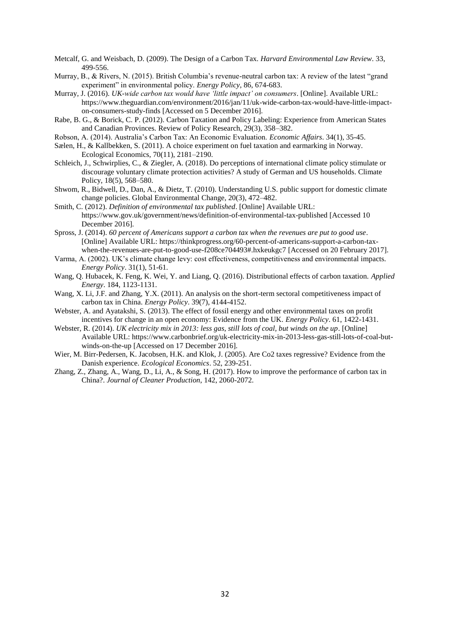Metcalf, G. and Weisbach, D. (2009). The Design of a Carbon Tax. *Harvard Environmental Law Review*. 33, 499-556.

- Murray, B., & Rivers, N. (2015). British Columbia's revenue-neutral carbon tax: A review of the latest "grand experiment" in environmental policy. *Energy Policy*, 86, 674-683.
- Murray, J. (2016). *UK-wide carbon tax would have 'little impact' on consumers*. [Online]. Available URL: [https://www.theguardian.com/environment/2016/jan/11/uk-wide-carbon-tax-would-have-little-impact](https://www.theguardian.com/environment/2016/jan/11/uk-wide-carbon-tax-would-have-little-impact-on-consumers-study-finds)[on-consumers-study-finds](https://www.theguardian.com/environment/2016/jan/11/uk-wide-carbon-tax-would-have-little-impact-on-consumers-study-finds) [Accessed on 5 December 2016].
- Rabe, B. G., & Borick, C. P. (2012). Carbon Taxation and Policy Labeling: Experience from American States and Canadian Provinces. Review of Policy Research, 29(3), 358–382.
- Robson, A. (2014). Australia's Carbon Tax: An Economic Evaluation. *Economic Affairs*. 34(1), 35-45.
- Sælen, H., & Kallbekken, S. (2011). A choice experiment on fuel taxation and earmarking in Norway. Ecological Economics, 70(11), 2181–2190.
- Schleich, J., Schwirplies, C., & Ziegler, A. (2018). Do perceptions of international climate policy stimulate or discourage voluntary climate protection activities? A study of German and US households. Climate Policy, 18(5), 568–580.
- Shwom, R., Bidwell, D., Dan, A., & Dietz, T. (2010). Understanding U.S. public support for domestic climate change policies. Global Environmental Change, 20(3), 472–482.
- Smith, C. (2012). *Definition of environmental tax published*. [Online] Available URL: https://www.gov.uk/government/news/definition-of-environmental-tax-published [Accessed 10 December 2016].
- Spross, J. (2014). *60 percent of Americans support a carbon tax when the revenues are put to good use*. [Online] Available URL: [https://thinkprogress.org/60-percent-of-americans-support-a-carbon-tax](https://thinkprogress.org/60-percent-of-americans-support-a-carbon-tax-when-the-revenues-are-put-to-good-use-f208ce704493#.hxkeukgc7)[when-the-revenues-are-put-to-good-use-f208ce704493#.hxkeukgc7](https://thinkprogress.org/60-percent-of-americans-support-a-carbon-tax-when-the-revenues-are-put-to-good-use-f208ce704493#.hxkeukgc7) [Accessed on 20 February 2017].
- Varma, A. (2002). UK's climate change levy: cost effectiveness, competitiveness and environmental impacts. *Energy Policy*. 31(1), 51-61.
- Wang, Q. Hubacek, K. Feng, K. Wei, Y. and Liang, Q. (2016). Distributional effects of carbon taxation. *Applied Energy*. 184, 1123-1131.
- Wang, X. Li, J.F. and Zhang, Y.X. (2011). An analysis on the short-term sectoral competitiveness impact of carbon tax in China. *Energy Policy*. 39(7), 4144-4152.
- Webster, A. and Ayatakshi, S. (2013). The effect of fossil energy and other environmental taxes on profit incentives for change in an open economy: Evidence from the UK. *Energy Policy*. 61, 1422-1431.
- Webster, R. (2014). *UK electricity mix in 2013: less gas, still lots of coal, but winds on the up*. [Online] Available URL[: https://www.carbonbrief.org/uk-electricity-mix-in-2013-less-gas-still-lots-of-coal-but](https://www.carbonbrief.org/uk-electricity-mix-in-2013-less-gas-still-lots-of-coal-but-winds-on-the-up)[winds-on-the-up](https://www.carbonbrief.org/uk-electricity-mix-in-2013-less-gas-still-lots-of-coal-but-winds-on-the-up) [Accessed on 17 December 2016].
- Wier, M. Birr-Pedersen, K. Jacobsen, H.K. and Klok, J. (2005). Are Co2 taxes regressive? Evidence from the Danish experience. *Ecological Economics*. 52, 239-251.
- Zhang, Z., Zhang, A., Wang, D., Li, A., & Song, H. (2017). How to improve the performance of carbon tax in China?. *Journal of Cleaner Production*, 142, 2060-2072.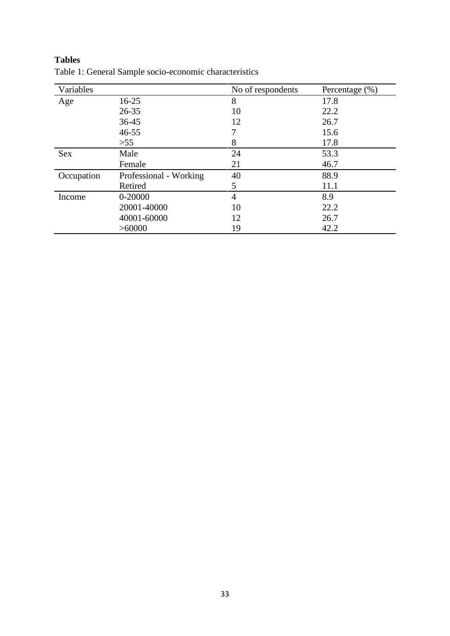# **Tables**

| Variables  |                        | No of respondents | Percentage $(\% )$ |
|------------|------------------------|-------------------|--------------------|
| Age        | $16 - 25$              | 8                 | 17.8               |
|            | $26 - 35$              | 10                | 22.2               |
|            | 36-45                  | 12                | 26.7               |
|            | $46 - 55$              |                   | 15.6               |
|            | $>55$                  | 8                 | 17.8               |
| <b>Sex</b> | Male                   | 24                | 53.3               |
|            | Female                 | 21                | 46.7               |
| Occupation | Professional - Working | 40                | 88.9               |
|            | Retired                | 5                 | 11.1               |
| Income     | 0-20000                | $\overline{4}$    | 8.9                |
|            | 20001-40000            | 10                | 22.2               |
|            | 40001-60000            | 12                | 26.7               |
|            | >60000                 | 19                | 42.2               |

Table 1: General Sample socio-economic characteristics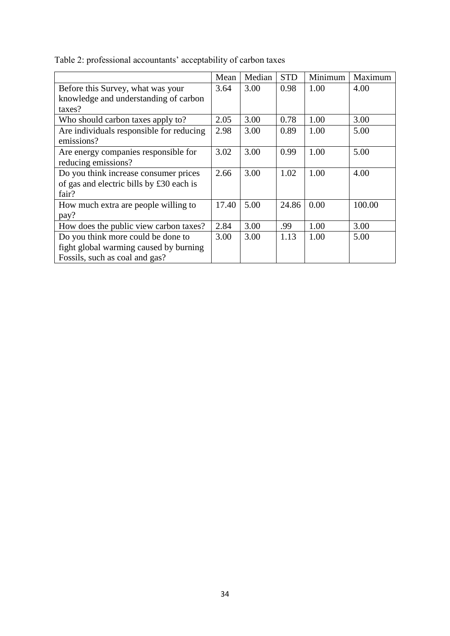|                                          | Mean  | Median | <b>STD</b> | Minimum | Maximum |
|------------------------------------------|-------|--------|------------|---------|---------|
| Before this Survey, what was your        |       | 3.00   | 0.98       | 1.00    | 4.00    |
| knowledge and understanding of carbon    |       |        |            |         |         |
| taxes?                                   |       |        |            |         |         |
| Who should carbon taxes apply to?        |       | 3.00   | 0.78       | 1.00    | 3.00    |
| Are individuals responsible for reducing |       | 3.00   | 0.89       | 1.00    | 5.00    |
| emissions?                               |       |        |            |         |         |
| Are energy companies responsible for     | 3.02  | 3.00   | 0.99       | 1.00    | 5.00    |
| reducing emissions?                      |       |        |            |         |         |
| Do you think increase consumer prices    |       | 3.00   | 1.02       | 1.00    | 4.00    |
| of gas and electric bills by £30 each is |       |        |            |         |         |
| fair?                                    |       |        |            |         |         |
| How much extra are people willing to     | 17.40 | 5.00   | 24.86      | 0.00    | 100.00  |
| pay?                                     |       |        |            |         |         |
| How does the public view carbon taxes?   |       | 3.00   | .99        | 1.00    | 3.00    |
| Do you think more could be done to       |       | 3.00   | 1.13       | 1.00    | 5.00    |
| fight global warming caused by burning   |       |        |            |         |         |
| Fossils, such as coal and gas?           |       |        |            |         |         |

Table 2: professional accountants' acceptability of carbon taxes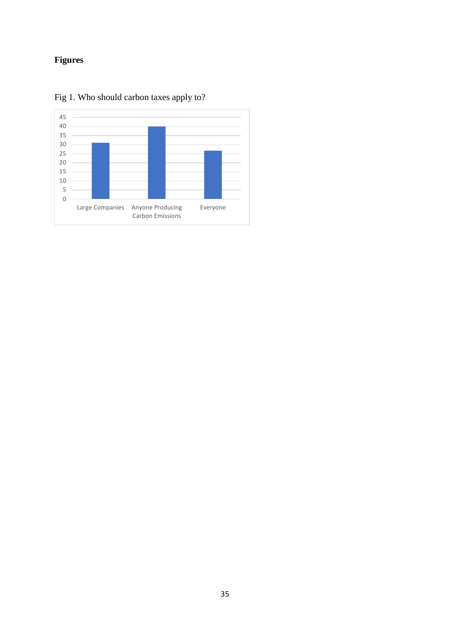# **Figures**



Fig 1. Who should carbon taxes apply to?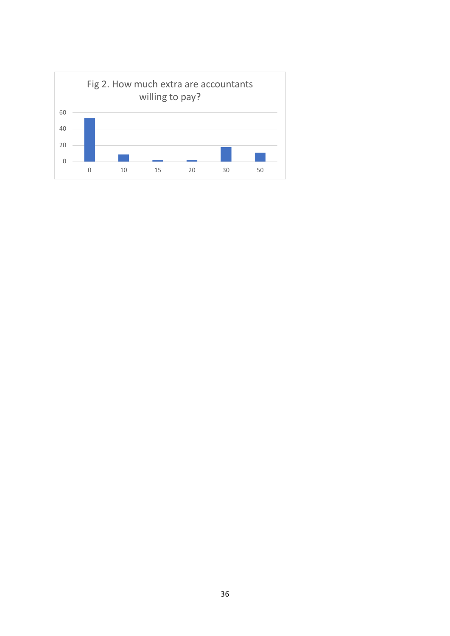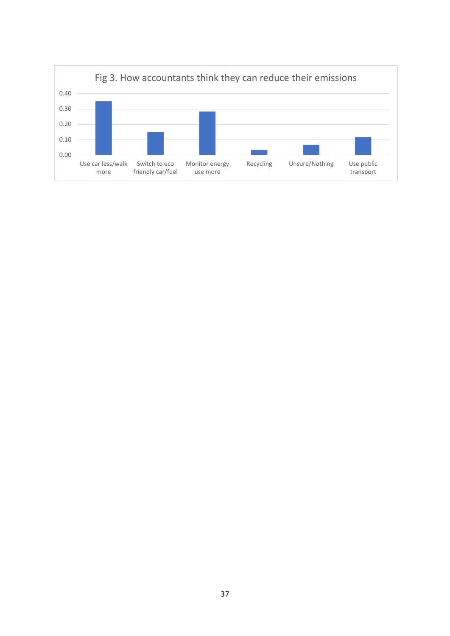